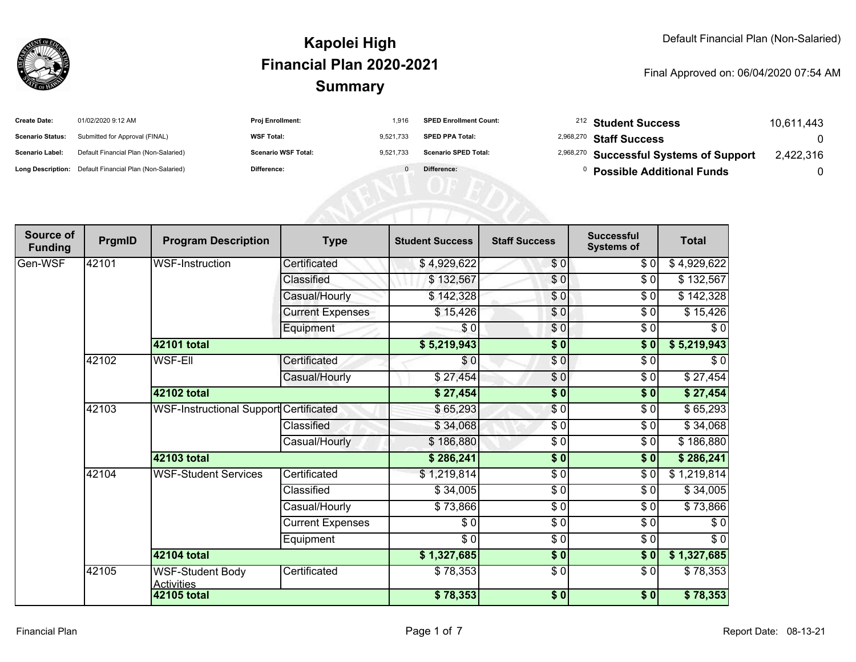

| <b>Create Date:</b>     | 01/02/2020 9:12 AM                                      | <b>Proj Enrollment:</b>    | 1.916     | <b>SPED Enrollment Count:</b> | <sup>212</sup> Student Success                     | 10.611.443 |
|-------------------------|---------------------------------------------------------|----------------------------|-----------|-------------------------------|----------------------------------------------------|------------|
| <b>Scenario Status:</b> | Submitted for Approval (FINAL)                          | <b>WSF Total:</b>          | 9.521.733 | <b>SPED PPA Total:</b>        | <sup>2,968,270</sup> Staff Success                 |            |
| <b>Scenario Label:</b>  | Default Financial Plan (Non-Salaried)                   | <b>Scenario WSF Total:</b> | 9.521.733 | <b>Scenario SPED Total:</b>   | <sup>2,968,270</sup> Successful Systems of Support | 2,422,316  |
|                         | Long Description: Default Financial Plan (Non-Salaried) | Difference:                |           | Difference:                   | <b>Possible Additional Funds</b>                   |            |

| Source of<br><b>Funding</b> | PrgmID | <b>Program Description</b>                    | <b>Type</b>             | <b>Student Success</b> | <b>Staff Success</b> | <b>Successful</b><br><b>Systems of</b> | <b>Total</b> |
|-----------------------------|--------|-----------------------------------------------|-------------------------|------------------------|----------------------|----------------------------------------|--------------|
| Gen-WSF                     | 42101  | <b>WSF-Instruction</b>                        | Certificated            | \$4,929,622            | \$0                  | \$0                                    | \$4,929,622  |
|                             |        |                                               | Classified              | \$132,567              | $\overline{\$0}$     | \$0                                    | \$132,567    |
|                             |        |                                               | Casual/Hourly           | \$142,328              | \$0                  | \$0                                    | \$142,328    |
|                             |        |                                               | <b>Current Expenses</b> | \$15,426               | \$0                  | \$0                                    | \$15,426     |
|                             |        |                                               | Equipment               | \$0                    | \$0                  | \$0                                    | $\sqrt{6}$   |
|                             |        | 42101 total                                   |                         | \$5,219,943            | $\sqrt{6}$           | $\sqrt{6}$                             | \$5,219,943  |
|                             | 42102  | <b>WSF-EII</b>                                | Certificated            | \$0                    | $\frac{6}{3}$        | $\frac{3}{6}$                          | $\sqrt{6}$   |
|                             |        |                                               | Casual/Hourly           | \$27,454               | \$0                  | \$0                                    | \$27,454     |
|                             |        | 42102 total                                   |                         | \$27,454               | \$0                  | \$0                                    | \$27,454     |
|                             | 42103  | <b>WSF-Instructional Support Certificated</b> |                         | \$65,293               | \$0                  | \$0                                    | \$65,293     |
|                             |        |                                               | Classified              | \$34,068               | \$0                  | \$0                                    | \$34,068     |
|                             |        |                                               | Casual/Hourly           | \$186,880              | $\frac{6}{6}$        | \$0                                    | \$186,880    |
|                             |        | 42103 total                                   |                         | \$286,241              | \$0                  | $\sqrt{6}$                             | \$286,241    |
|                             | 42104  | <b>WSF-Student Services</b>                   | Certificated            | \$1,219,814            | $\sqrt{6}$           | \$0                                    | \$1,219,814  |
|                             |        |                                               | Classified              | \$34,005               | \$0                  | \$0                                    | \$34,005     |
|                             |        |                                               | Casual/Hourly           | \$73,866               | \$0                  | \$0                                    | \$73,866     |
|                             |        |                                               | <b>Current Expenses</b> | \$0                    | $\frac{6}{6}$        | $\frac{3}{6}$                          | \$0          |
|                             |        |                                               | Equipment               | \$0                    | $\frac{6}{6}$        | $\frac{3}{6}$                          | $\sqrt{6}$   |
|                             |        | 42104 total                                   |                         | \$1,327,685            | $\sqrt{6}$           | \$0                                    | \$1,327,685  |
|                             | 42105  | <b>WSF-Student Body</b><br><b>Activities</b>  | Certificated            | \$78,353               | $\frac{6}{6}$        | \$0                                    | \$78,353     |
|                             |        | 42105 total                                   |                         | \$78,353               | \$0                  | \$0                                    | \$78,353     |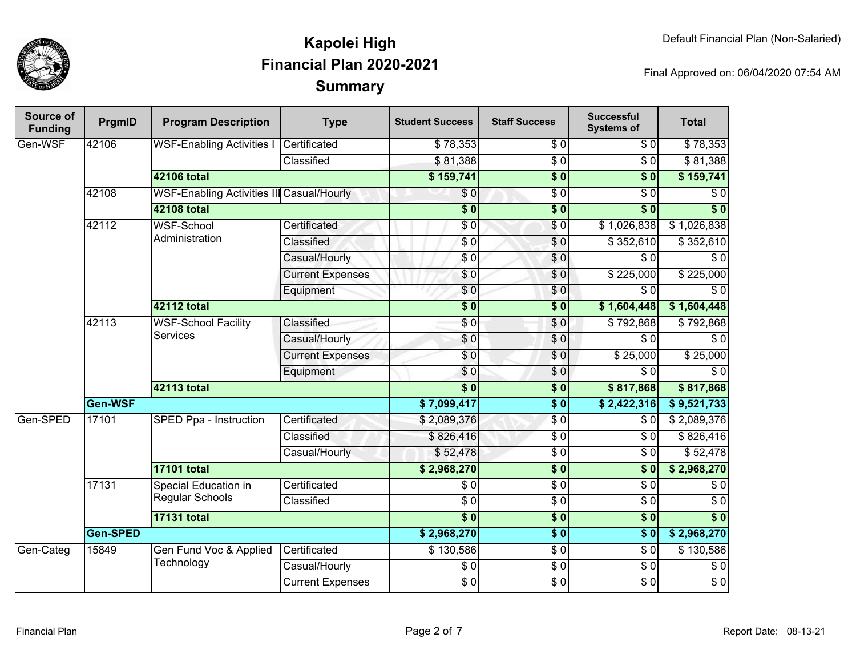

| Source of<br><b>Funding</b> | PrgmID   | <b>Program Description</b>                       | <b>Type</b>             | <b>Student Success</b> | <b>Staff Success</b> | <b>Successful</b><br><b>Systems of</b> | <b>Total</b>     |          |
|-----------------------------|----------|--------------------------------------------------|-------------------------|------------------------|----------------------|----------------------------------------|------------------|----------|
| Gen-WSF                     | 42106    | <b>WSF-Enabling Activities I</b>                 | Certificated            | \$78,353               | $\sqrt{6}$           | \$0                                    | \$78,353         |          |
|                             |          |                                                  | Classified              | \$81,388               | $\overline{\$0}$     | $\overline{30}$                        | \$81,388         |          |
|                             |          | <b>42106 total</b>                               |                         |                        | $\overline{\$}0$     | $\overline{\$0}$                       | \$159,741        |          |
|                             | 42108    | <b>WSF-Enabling Activities III Casual/Hourly</b> |                         | \$0                    | $\overline{\$0}$     | $\overline{\$0}$                       | \$0              |          |
|                             |          | <b>42108 total</b>                               |                         | $\overline{\$0}$       | $\overline{\$0}$     | $\overline{\$0}$                       | $\overline{\$0}$ |          |
|                             | 42112    | <b>WSF-School</b>                                | Certificated            | \$0                    | $\sqrt{6}$           | \$1,026,838                            | \$1,026,838      |          |
|                             |          | Administration                                   | Classified              | $\sqrt{6}$             | $\overline{S}0$      | \$352,610                              | \$352,610        |          |
|                             |          |                                                  | Casual/Hourly           | \$0                    | \$0                  | $\overline{\$0}$                       | $\overline{\$0}$ |          |
|                             |          |                                                  | <b>Current Expenses</b> | \$0                    | \$0                  | \$225,000                              | \$225,000        |          |
|                             |          |                                                  | Equipment               | \$0                    | \$0                  | $\overline{\$0}$                       | $\overline{\$0}$ |          |
|                             |          | <b>42112 total</b>                               |                         | $\overline{\$0}$       | $\overline{\$0}$     | \$1,604,448                            | \$1,604,448      |          |
|                             | 42113    | <b>WSF-School Facility</b><br><b>Services</b>    | Classified              | $\overline{\$0}$       | \$0                  | \$792,868                              | \$792,868        |          |
|                             |          |                                                  | Casual/Hourly           | \$0                    | $\sqrt{0}$           | $\overline{\$0}$                       | $\overline{50}$  |          |
|                             |          |                                                  | <b>Current Expenses</b> | \$0                    | $\sqrt{0}$           | \$25,000                               | \$25,000         |          |
|                             |          |                                                  | Equipment               | \$0                    | \$0                  | $\sqrt{6}$                             | $\overline{\$0}$ |          |
|                             |          | 42113 total                                      |                         | $\overline{\$0}$       | $\overline{\$}0$     | \$817,868                              | \$817,868        |          |
|                             | Gen-WSF  |                                                  | \$7,099,417             | $\overline{\$0}$       | \$2,422,316          | \$9,521,733                            |                  |          |
| Gen-SPED                    | 17101    | <b>SPED Ppa - Instruction</b>                    | Certificated            | \$2,089,376            | $\sqrt{6}$           | \$0                                    | \$2,089,376      |          |
|                             |          |                                                  | Classified              | \$826,416              | $\sqrt{6}$           | $\sqrt{6}$                             | \$826,416        |          |
|                             |          |                                                  |                         | Casual/Hourly          | \$52,478             | $\sqrt{6}$                             | \$0              | \$52,478 |
|                             |          | <b>17101 total</b>                               |                         | \$2,968,270            | $\overline{\$0}$     | $\overline{\$0}$                       | \$2,968,270      |          |
|                             | 17131    | Special Education in                             | Certificated            | $\overline{\$0}$       | $\sqrt{6}$           | $\sqrt{6}$                             | \$0              |          |
|                             |          | <b>Regular Schools</b>                           | Classified              | $\overline{30}$        | $\sqrt{6}$           | $\sqrt{6}$                             | $\overline{S}0$  |          |
|                             |          | <b>17131 total</b>                               |                         | $\overline{\$0}$       | $\sqrt{6}$           | $\overline{\$0}$                       | $\overline{\$0}$ |          |
|                             | Gen-SPED |                                                  |                         | \$2,968,270            | $\overline{\$0}$     | $\overline{\bullet}$ 0                 | \$2,968,270      |          |
| Gen-Categ                   | 15849    | Gen Fund Voc & Applied                           | Certificated            | \$130,586              | $\sqrt{6}$           | $\sqrt{6}$                             | \$130,586        |          |
|                             |          | Technology                                       | Casual/Hourly           | $\sqrt{6}$             | $\sqrt{6}$           | $\overline{30}$                        | $\sqrt{6}$       |          |
|                             |          |                                                  | <b>Current Expenses</b> | $\overline{$}0$        | $\sqrt{6}$           | $\overline{$}0$                        | $\overline{S}0$  |          |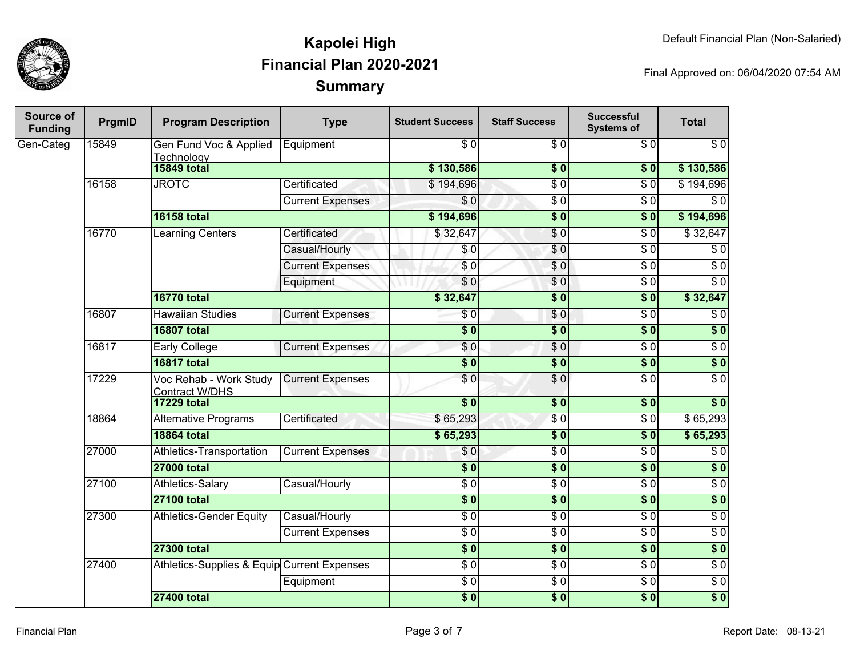

| <b>Source of</b><br><b>Funding</b> | PrgmID | <b>Program Description</b>                      | <b>Type</b>             | <b>Student Success</b> | <b>Staff Success</b> | <b>Successful</b><br><b>Systems of</b> | <b>Total</b>     |
|------------------------------------|--------|-------------------------------------------------|-------------------------|------------------------|----------------------|----------------------------------------|------------------|
| Gen-Categ                          | 15849  | Gen Fund Voc & Applied<br>Technology            | Equipment               | $\sqrt{6}$             | $\overline{\$0}$     | \$0                                    | $\overline{\$0}$ |
|                                    |        | <b>15849 total</b>                              |                         | \$130,586              | $\overline{\$0}$     | \$0                                    | \$130,586        |
|                                    | 16158  | <b>JROTC</b>                                    | Certificated            | \$194,696              | $\overline{\$0}$     | $\overline{\$0}$                       | \$194,696        |
|                                    |        |                                                 | <b>Current Expenses</b> | \$0                    | $\overline{\$0}$     | $\overline{$}0$                        | $\overline{\$0}$ |
|                                    |        | <b>16158 total</b>                              |                         | \$194,696              | $\sqrt{6}$           | \$0                                    | \$194,696        |
|                                    | 16770  | <b>Learning Centers</b>                         | Certificated            | \$32,647               | $\sqrt{6}$           | $\overline{\$0}$                       | \$32,647         |
|                                    |        |                                                 | Casual/Hourly           | \$0                    | \$0                  | $\overline{\$0}$                       | $\overline{\$0}$ |
|                                    |        |                                                 | <b>Current Expenses</b> | $\sqrt{6}$             | $\sqrt{0}$           | $\overline{\$0}$                       | $\overline{\$0}$ |
|                                    |        |                                                 | Equipment               | \$0                    | \$0                  | $\overline{\$0}$                       | $\overline{\$0}$ |
|                                    |        | <b>16770 total</b>                              |                         | \$32,647               | $\overline{\$}0$     | \$0                                    | \$32,647         |
|                                    | 16807  | <b>Hawaiian Studies</b>                         | <b>Current Expenses</b> | \$0                    | \$0                  | $\overline{\$0}$                       | $\overline{\$0}$ |
|                                    |        | <b>16807 total</b>                              |                         | $\overline{\$0}$       | $\sqrt{6}$           | $\sqrt{6}$                             | $\overline{\$}0$ |
|                                    | 16817  | <b>Early College</b>                            | <b>Current Expenses</b> | $\sqrt{6}$             | $\sqrt{6}$           | $\overline{\$0}$                       | $\overline{\$0}$ |
|                                    |        | <b>16817 total</b>                              |                         | $\overline{\$0}$       | $\overline{\$0}$     | $\sqrt{6}$                             | $\overline{\$0}$ |
|                                    | 17229  | Voc Rehab - Work Study<br><b>Contract W/DHS</b> | <b>Current Expenses</b> | $\overline{\$0}$       | $\overline{\$0}$     | $\overline{\$0}$                       | $\overline{\$0}$ |
|                                    |        | <b>17229 total</b>                              |                         | $\overline{\$0}$       | $\overline{\$0}$     | \$0                                    | \$0              |
|                                    | 18864  | <b>Alternative Programs</b>                     | Certificated            | \$65,293               | $\overline{\$0}$     | $\overline{\$0}$                       | \$65,293         |
|                                    |        | <b>18864 total</b>                              |                         | \$65,293               | $\overline{\$0}$     | $\overline{\$0}$                       | \$65,293         |
|                                    | 27000  | Athletics-Transportation                        | <b>Current Expenses</b> | \$0                    | \$0                  | $\sqrt{6}$                             | $\sqrt{6}$       |
|                                    |        | <b>27000 total</b>                              |                         | $\overline{\$0}$       | $\overline{\$0}$     | $\sqrt{6}$                             | $\overline{\$0}$ |
|                                    | 27100  | Athletics-Salary                                | Casual/Hourly           | $\sqrt{6}$             | \$0                  | \$0                                    | $\sqrt{6}$       |
|                                    |        | <b>27100 total</b>                              |                         | $\overline{\$0}$       | $\sqrt{6}$           | $\sqrt{6}$                             | $\sqrt{6}$       |
|                                    | 27300  | <b>Athletics-Gender Equity</b>                  | Casual/Hourly           | $\sqrt{6}$             | $\sqrt{6}$           | $\sqrt{6}$                             | $\sqrt{6}$       |
|                                    |        |                                                 | <b>Current Expenses</b> | $\overline{\$0}$       | $\sqrt{6}$           | $\overline{\$0}$                       | $\overline{\$0}$ |
|                                    |        | <b>27300 total</b>                              |                         | $\overline{\$0}$       | $\overline{\$0}$     | $\overline{\$0}$                       | \$0              |
|                                    | 27400  | Athletics-Supplies & Equip Current Expenses     |                         | $\sqrt{6}$             | $\sqrt{6}$           | $\sqrt{6}$                             | $\sqrt{6}$       |
|                                    |        |                                                 | Equipment               | $\sqrt{6}$             | $\sqrt{6}$           | $\sqrt{6}$                             | $\sqrt{6}$       |
|                                    |        | <b>27400 total</b>                              |                         | \$0                    | $\sqrt{6}$           | $\sqrt{6}$                             | \$0              |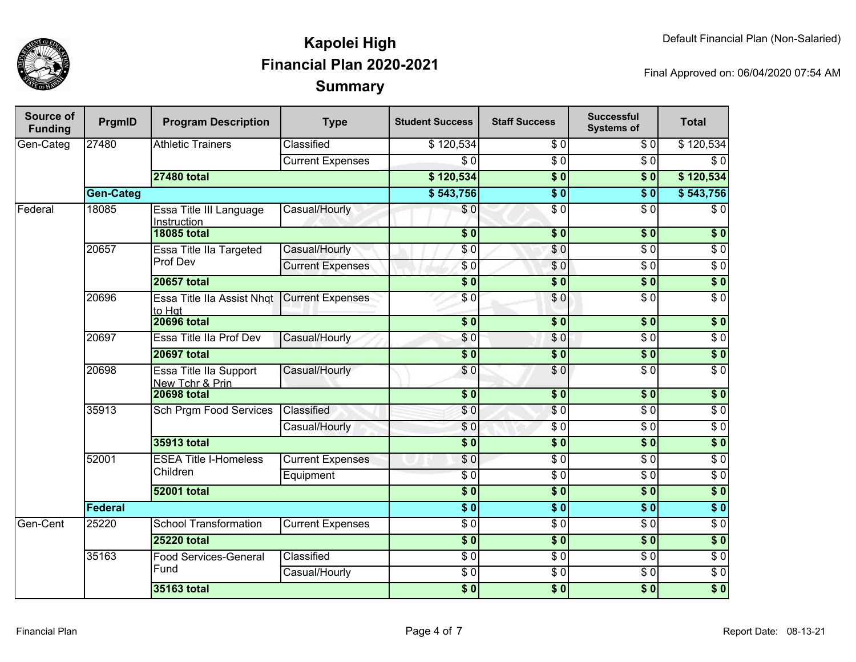

| Source of<br><b>Funding</b> | PrgmID           | <b>Program Description</b>                | <b>Type</b>                   | <b>Student Success</b> | <b>Staff Success</b> | <b>Successful</b><br><b>Systems of</b> | <b>Total</b>     |                  |
|-----------------------------|------------------|-------------------------------------------|-------------------------------|------------------------|----------------------|----------------------------------------|------------------|------------------|
| Gen-Categ                   | 27480            | <b>Athletic Trainers</b>                  | Classified                    | \$120,534              | \$0                  | \$0                                    | \$120,534        |                  |
|                             |                  |                                           | <b>Current Expenses</b>       | $\overline{\$0}$       | $\overline{\$0}$     | $\overline{\$0}$                       | $\overline{\$0}$ |                  |
|                             |                  | <b>27480 total</b>                        |                               | \$120,534              | $\overline{\$0}$     | $\overline{\$}0$                       | \$120,534        |                  |
|                             | <b>Gen-Categ</b> |                                           |                               | \$543,756              | $\overline{\$0}$     | $\overline{\$0}$                       | \$543,756        |                  |
| Federal                     | 18085            | Essa Title III Language<br>Instruction    | Casual/Hourly                 | \$0                    | $\sqrt{6}$           | $\overline{\$0}$                       | $\overline{\$0}$ |                  |
|                             |                  | <b>18085 total</b>                        |                               | $\overline{\$0}$       | $\overline{\$0}$     | $\sqrt{6}$                             | $\overline{\$0}$ |                  |
|                             | 20657            | Essa Title IIa Targeted                   | Casual/Hourly                 | \$0                    | \$0                  | $\overline{\$0}$                       | $\overline{\$0}$ |                  |
|                             |                  | Prof Dev                                  | <b>Current Expenses</b>       | \$0                    | \$0                  | $\overline{\$0}$                       | $\overline{\$0}$ |                  |
|                             |                  | <b>20657 total</b>                        |                               | $\overline{\$0}$       | $\overline{\$0}$     | $\overline{\$}0$                       | $\overline{\$}0$ |                  |
|                             | 20696            | Essa Title IIa Assist Nhqt<br>to Hat      | <b>Current Expenses</b>       | \$0                    | \$0                  | $\overline{\$0}$                       | $\overline{\$0}$ |                  |
|                             |                  | <b>20696 total</b>                        |                               | $\overline{\$0}$       | $\overline{\$0}$     | $\overline{\$0}$                       | $\overline{\$0}$ |                  |
|                             | 20697            | Essa Title IIa Prof Dev                   | Casual/Hourly                 | \$0                    | \$0                  | $\overline{\$0}$                       | $\overline{\$0}$ |                  |
|                             |                  | <b>20697 total</b>                        |                               | $\overline{\$0}$       | \$0                  | $\overline{\$}0$                       | $\overline{\$}0$ |                  |
|                             | 20698            | Essa Title IIa Support<br>New Tchr & Prin | Casual/Hourly                 | \$0                    | \$0                  | $\overline{\$0}$                       | $\overline{\$0}$ |                  |
|                             |                  | <b>20698 total</b>                        |                               | $\overline{\$0}$       | $\overline{\$0}$     | $\overline{\$0}$                       | $\overline{\$0}$ |                  |
|                             | 35913            |                                           | <b>Sch Prgm Food Services</b> | Classified             | \$0                  | $\overline{\$0}$                       | $\overline{S}0$  | $\overline{\$0}$ |
|                             |                  |                                           | Casual/Hourly                 | $\overline{\$0}$       | $\sqrt{6}$           | $\sqrt{6}$                             | $\overline{\$0}$ |                  |
|                             |                  | 35913 total                               |                               | $\overline{\$0}$       | $\overline{\$0}$     | $\overline{\$0}$                       | $\overline{\$0}$ |                  |
|                             | 52001            | <b>ESEA Title I-Homeless</b>              | <b>Current Expenses</b>       | \$0                    | $\overline{\$0}$     | $\overline{\$0}$                       | $\overline{\$0}$ |                  |
|                             |                  | Children                                  | Equipment                     | $\overline{S}0$        | $\sqrt{6}$           | $\overline{\$0}$                       | $\overline{\$0}$ |                  |
|                             |                  | <b>52001 total</b>                        |                               | $\overline{\$0}$       | $\overline{\$0}$     | $\overline{\$}0$                       | $\overline{\$}0$ |                  |
|                             | Federal          |                                           |                               | $\overline{\$0}$       | $\overline{\$0}$     | $\overline{\$0}$                       | $\overline{\$0}$ |                  |
| Gen-Cent                    | 25220            | <b>School Transformation</b>              | <b>Current Expenses</b>       | $\overline{\$0}$       | $\overline{\$0}$     | $\overline{\$0}$                       | $\overline{\$0}$ |                  |
|                             |                  | <b>25220 total</b>                        |                               | $\overline{\$0}$       | $\overline{\$0}$     | $\overline{\$0}$                       | $\overline{\$0}$ |                  |
|                             | 35163            | <b>Food Services-General</b>              | Classified                    | $\overline{30}$        | $\sqrt{6}$           | $\overline{\$0}$                       | $\overline{\$0}$ |                  |
|                             |                  | Fund                                      | Casual/Hourly                 | $\overline{\$0}$       | $\overline{\$0}$     | $\overline{\$0}$                       | $\overline{\$0}$ |                  |
|                             |                  | 35163 total                               |                               | $\overline{\$0}$       | $\overline{\$0}$     | $\overline{\$0}$                       | $\overline{\$0}$ |                  |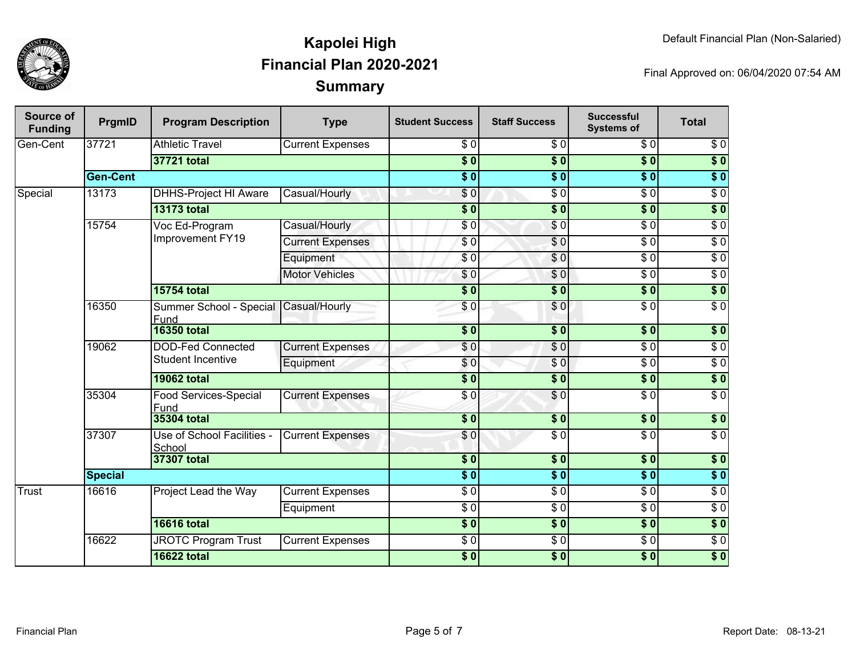

| <b>Source of</b><br><b>Funding</b> | PrgmID          | <b>Program Description</b>           | <b>Type</b>              | <b>Student Success</b>  | <b>Staff Success</b>   | <b>Successful</b><br><b>Systems of</b> | <b>Total</b>      |                  |
|------------------------------------|-----------------|--------------------------------------|--------------------------|-------------------------|------------------------|----------------------------------------|-------------------|------------------|
| Gen-Cent                           | 37721           | <b>Athletic Travel</b>               | <b>Current Expenses</b>  | \$0                     | \$0                    | $\overline{\$0}$                       | $\overline{\$0}$  |                  |
|                                    |                 | 37721 total                          |                          | $\overline{\$0}$        | $\overline{\bullet}$ 0 | $\overline{\$0}$                       | $\overline{\$}0$  |                  |
|                                    | <b>Gen-Cent</b> |                                      |                          | $\overline{\$0}$        | $\overline{\$0}$       | $\overline{\$0}$                       | $\overline{\$0}$  |                  |
| Special                            | 13173           | <b>DHHS-Project HI Aware</b>         | Casual/Hourly            | \$0                     | $\sqrt{6}$             | $\overline{\$0}$                       | $\overline{30}$   |                  |
|                                    |                 | <b>13173 total</b>                   |                          | $\overline{\$0}$        | $\overline{\$0}$       | $\overline{\$0}$                       | $\sqrt{ }$        |                  |
|                                    | 15754           | Voc Ed-Program                       | Casual/Hourly            | \$0                     | $\sqrt{6}$             | $\overline{\$0}$                       | $\overline{\$0}$  |                  |
|                                    |                 | Improvement FY19                     | <b>Current Expenses</b>  | $\overline{S}0$         | $\sqrt{0}$             | $\overline{\$0}$                       | $\overline{30}$   |                  |
|                                    |                 |                                      | Equipment                | \$0                     | $\sqrt{0}$             | $\overline{\$0}$                       | $\sqrt{6}$        |                  |
|                                    |                 |                                      | <b>Motor Vehicles</b>    | \$0                     | \$0                    | \$0                                    | $\overline{\$0}$  |                  |
|                                    |                 | <b>15754 total</b>                   |                          | $\overline{\$0}$        | $\overline{\$0}$       | $\sqrt{50}$                            | $\overline{\$}$ 0 |                  |
|                                    | 16350           | Summer School - Special<br>Fund      | Casual/Hourly            | \$0                     | \$0                    | $\overline{\$0}$                       | $\overline{\$0}$  |                  |
|                                    |                 | <b>16350 total</b>                   |                          | $\overline{\$0}$        | $\overline{\$}0$       | 30                                     | $\sqrt{ }$        |                  |
|                                    | 19062           |                                      | <b>DOD-Fed Connected</b> | <b>Current Expenses</b> | \$0                    | $\overline{\$0}$                       | $\overline{\$0}$  | $\overline{\$0}$ |
|                                    |                 | <b>Student Incentive</b>             | Equipment                | \$0                     | $\overline{\$0}$       | $\overline{\$0}$                       | $\overline{\$0}$  |                  |
|                                    |                 | <b>19062 total</b>                   |                          | $\overline{\$0}$        | $\overline{\$}0$       | $\sqrt{ }$                             | $\sqrt{ }$        |                  |
|                                    | 35304           | <b>Food Services-Special</b><br>Fund | <b>Current Expenses</b>  | \$0                     | \$0                    | $\overline{\$0}$                       | $\overline{\$0}$  |                  |
|                                    |                 | <b>35304 total</b>                   |                          | $\overline{\$0}$        | $\overline{\$0}$       | \$0                                    | $\sqrt{6}$        |                  |
|                                    | 37307           | Use of School Facilities -<br>School | <b>Current Expenses</b>  | \$0                     | $\overline{\$0}$       | $\overline{\$0}$                       | $\sqrt{6}$        |                  |
|                                    |                 | 37307 total                          | $\overline{\$0}$         | $\overline{\$0}$        | $\overline{\$0}$       | $\sqrt{ }$                             |                   |                  |
|                                    | <b>Special</b>  |                                      |                          | $\overline{\$0}$        | $\overline{\bullet}$ 0 | $s$ <sub>0</sub>                       | $\overline{\$}$ 0 |                  |
| Trust                              | 16616           | Project Lead the Way                 | <b>Current Expenses</b>  | $\overline{S}0$         | $\overline{\$0}$       | $\overline{\$0}$                       | $\overline{30}$   |                  |
|                                    |                 |                                      | Equipment                | $\overline{\$0}$        | $\sqrt{6}$             | $\overline{\$0}$                       | $\sqrt{6}$        |                  |
|                                    |                 | <b>16616 total</b>                   |                          | $\overline{\$0}$        | $\overline{\$0}$       | $\overline{\$0}$                       | $\sqrt{ }$        |                  |
|                                    | 16622           | <b>JROTC Program Trust</b>           | <b>Current Expenses</b>  | $\overline{30}$         | $\overline{50}$        | $\overline{\$0}$                       | $\overline{30}$   |                  |
|                                    |                 | <b>16622 total</b>                   |                          | $\overline{\$0}$        | $\overline{\$0}$       | $\overline{\$0}$                       | $\overline{\$}0$  |                  |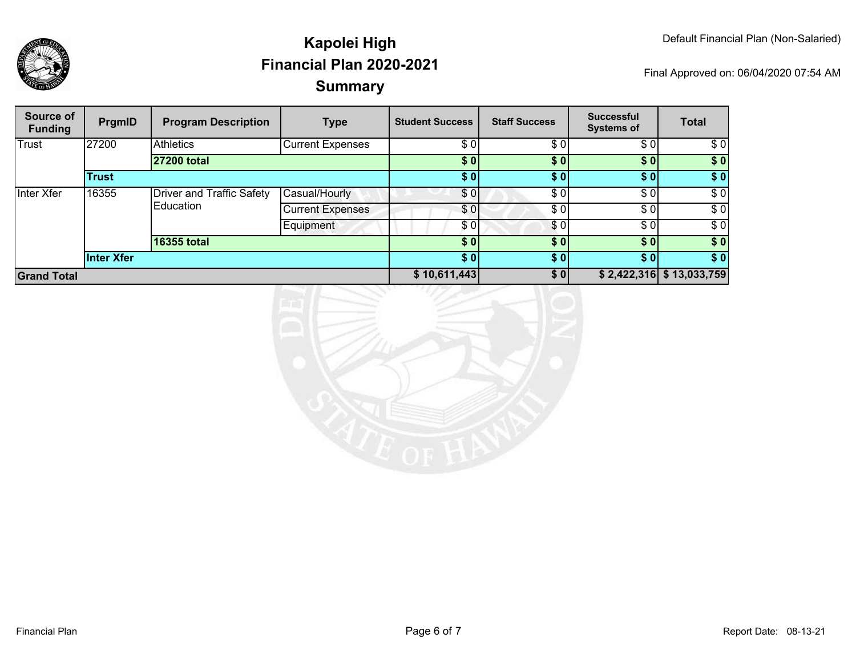

| Source of<br><b>Funding</b> | PrgmID       | <b>Program Description</b>                    | <b>Type</b>             | <b>Student Success</b> | <b>Staff Success</b> | <b>Successful</b><br><b>Systems of</b> | <b>Total</b>               |
|-----------------------------|--------------|-----------------------------------------------|-------------------------|------------------------|----------------------|----------------------------------------|----------------------------|
| Trust                       | 27200        | <b>Athletics</b>                              | <b>Current Expenses</b> | \$0                    | \$0                  | \$0]                                   | \$0                        |
|                             |              | 27200 total                                   |                         | \$0                    | \$0]                 | \$0]                                   | \$0                        |
|                             | <b>Trust</b> |                                               |                         | \$0                    | \$01                 | \$0]                                   | \$0                        |
| Inter Xfer                  | 16355        | <b>Driver and Traffic Safety</b><br>Education | Casual/Hourly           | \$0                    | \$0                  | \$0]                                   | \$0                        |
|                             |              |                                               | <b>Current Expenses</b> | \$0                    | \$0                  | \$0                                    | \$0                        |
|                             |              |                                               | Equipment               | \$0                    | \$0                  | \$0]                                   | \$0                        |
|                             |              | <b>16355 total</b>                            |                         | \$0                    | \$0                  | \$0]                                   | \$0                        |
|                             | Inter Xfer   |                                               |                         | \$0]                   | \$0]                 | \$0]                                   | \$0                        |
| <b>Grand Total</b>          |              |                                               |                         | \$10,611,443           | \$0                  |                                        | $$2,422,316$ $$13,033,759$ |